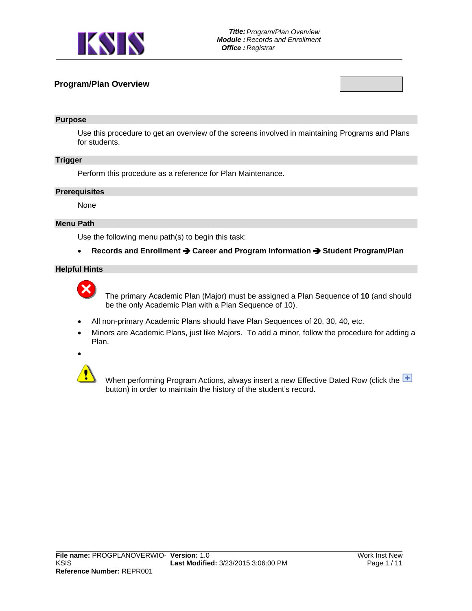

## **Program/Plan Overview**

#### **Purpose**

Use this procedure to get an overview of the screens involved in maintaining Programs and Plans for students.

### **Trigger**

Perform this procedure as a reference for Plan Maintenance.

#### **Prerequisites**

None

### **Menu Path**

Use the following menu path(s) to begin this task:

**•** Records and Enrollment **→** Career and Program Information → Student Program/Plan

## **Helpful Hints**



 The primary Academic Plan (Major) must be assigned a Plan Sequence of **10** (and should be the only Academic Plan with a Plan Sequence of 10).

- All non-primary Academic Plans should have Plan Sequences of 20, 30, 40, etc.
- Minors are Academic Plans, just like Majors. To add a minor, follow the procedure for adding a Plan.



When performing Program Actions, always insert a new Effective Dated Row (click the  $\pm$ button) in order to maintain the history of the student's record.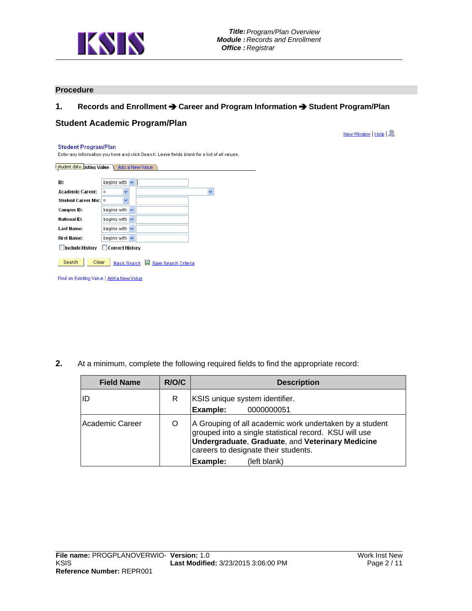

## **Procedure**

## 1. Records and Enrollment  $\rightarrow$  Career and Program Information  $\rightarrow$  Student Program/Plan

## **Student Academic Program/Plan**

New Window | Help | 恩

#### **Student Program/Plan**

Enter any information you have and click Search. Leave fields blank for a list of all values.

| <b>I</b> student data. isting Value | Add a New Value                      |   |
|-------------------------------------|--------------------------------------|---|
| ID:                                 | begins with $\vee$                   |   |
| <b>Academic Career:</b>             | v<br>Ξ                               | v |
| Student Career Nbr:                 | v<br>$\equiv$                        |   |
| Campus ID:                          | begins with $\vee$                   |   |
| National ID:                        | begins with<br>$\checkmark$          |   |
| Last Name:                          | begins with $\vee$                   |   |
| First Name:                         | begins with $\vee$                   |   |
| <b>Include History</b>              | Correct History                      |   |
| Search<br>Clear                     | Save Search Criteria<br>Basic Search |   |

Find an Existing Value | Add a New Value

**2.** At a minimum, complete the following required fields to find the appropriate record:

| <b>Field Name</b> | R/O/C | <b>Description</b>                                                                                                                                                                                                                               |  |  |  |
|-------------------|-------|--------------------------------------------------------------------------------------------------------------------------------------------------------------------------------------------------------------------------------------------------|--|--|--|
| lID               | R     | KSIS unique system identifier.<br>Example:<br>0000000051                                                                                                                                                                                         |  |  |  |
| Academic Career   |       | A Grouping of all academic work undertaken by a student<br>grouped into a single statistical record. KSU will use<br><b>Undergraduate, Graduate, and Veterinary Medicine</b><br>careers to designate their students.<br>Example:<br>(left blank) |  |  |  |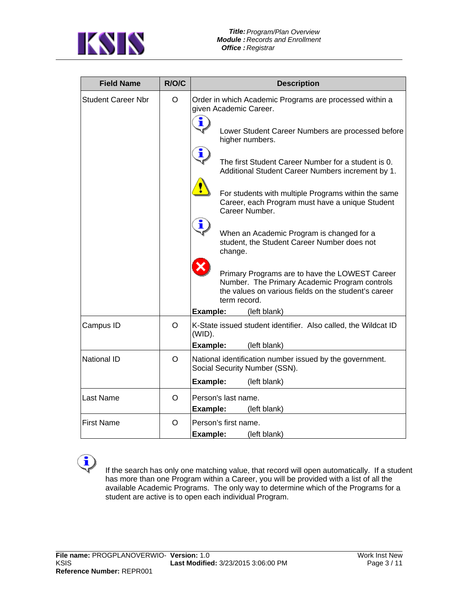

| <b>Field Name</b>         | R/O/C | <b>Description</b>                                                                                                                                                      |
|---------------------------|-------|-------------------------------------------------------------------------------------------------------------------------------------------------------------------------|
| <b>Student Career Nbr</b> | O     | Order in which Academic Programs are processed within a<br>given Academic Career.                                                                                       |
|                           |       | î<br>Lower Student Career Numbers are processed before<br>higher numbers.                                                                                               |
|                           |       | i<br>The first Student Career Number for a student is 0.<br>Additional Student Career Numbers increment by 1.                                                           |
|                           |       | For students with multiple Programs within the same<br>Career, each Program must have a unique Student<br>Career Number.                                                |
|                           |       | i<br>When an Academic Program is changed for a<br>student, the Student Career Number does not<br>change.                                                                |
|                           |       | Primary Programs are to have the LOWEST Career<br>Number. The Primary Academic Program controls<br>the values on various fields on the student's career<br>term record. |
|                           |       | Example:<br>(left blank)                                                                                                                                                |
| Campus ID                 | O     | K-State issued student identifier. Also called, the Wildcat ID<br>(WID).                                                                                                |
|                           |       | Example:<br>(left blank)                                                                                                                                                |
| <b>National ID</b>        | O     | National identification number issued by the government.<br>Social Security Number (SSN).                                                                               |
|                           |       | Example:<br>(left blank)                                                                                                                                                |
| <b>Last Name</b>          | O     | Person's last name.<br>Example:<br>(left blank)                                                                                                                         |
| <b>First Name</b>         | O     | Person's first name.                                                                                                                                                    |
|                           |       | Example:<br>(left blank)                                                                                                                                                |

į

 If the search has only one matching value, that record will open automatically. If a student has more than one Program within a Career, you will be provided with a list of all the available Academic Programs. The only way to determine which of the Programs for a student are active is to open each individual Program.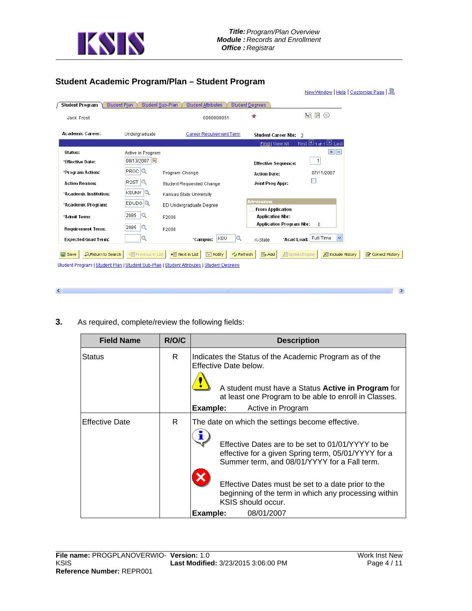

## **Student Academic Program/Plan – Student Program**

|                                            |                      |                                                                                                                                                   |                                              |                                         | New Window   Help   Customize Page   恩 |
|--------------------------------------------|----------------------|---------------------------------------------------------------------------------------------------------------------------------------------------|----------------------------------------------|-----------------------------------------|----------------------------------------|
| Student Program<br><b>Student Plan</b>     |                      | <b>Student Sub-Plan</b><br><b>Student Attributes</b>                                                                                              | <b>Student Degrees</b>                       |                                         |                                        |
| Jack Frost                                 |                      | 0000000051                                                                                                                                        | ★                                            | <b>EY</b><br>¥<br>⊕                     |                                        |
| <b>Academic Career:</b>                    | Undergraduate        | Career Requirement Term                                                                                                                           | Student Career Nbr: 2                        |                                         |                                        |
|                                            |                      |                                                                                                                                                   | Find   View All                              | First $\boxplus$ 1 of 1 $\boxplus$ Last |                                        |
| Status:                                    | Active in Program    |                                                                                                                                                   |                                              | + E                                     |                                        |
| *Effective Date:                           | 08/13/2007           |                                                                                                                                                   | <b>Effective Sequence:</b>                   | $\overline{1}$                          |                                        |
| *Program Action:                           | $PRGC$ <sup>Q</sup>  | Program Change                                                                                                                                    | <b>Action Date:</b>                          | 07/11/2007                              |                                        |
| <b>Action Reason:</b>                      | $RQST$ $Q$           | <b>Student Requested Change</b>                                                                                                                   | Joint Prog Appr:                             | ш                                       |                                        |
| *Academic Institution:                     | <b>KSUNV</b> Q       | Kansas State University                                                                                                                           |                                              |                                         |                                        |
| *Academic Program:                         | $EDUDG$ <sup>Q</sup> | ED Undergraduate Degree                                                                                                                           | <b>Admissions</b><br><b>From Application</b> |                                         |                                        |
| *Admit Term:                               | 2085<br>lQ.          | F2008                                                                                                                                             | <b>Application Nbr:</b>                      |                                         |                                        |
| <b>Requirement Term:</b>                   | lQ.<br>2085          | F2008                                                                                                                                             | <b>Application Program Nbr:</b>              | $\mathbf{0}$                            |                                        |
| <b>Expected Grad Term:</b>                 |                      | <b>KSU</b><br>Q<br>*Campus:                                                                                                                       | *Acad Load:<br>K-State                       | Full-Time                               |                                        |
| <b>A</b> Return to Search<br><b>国</b> Save | + Previous in List   | + Next in List<br><b>F</b> Notify<br><b>心 Refresh</b><br>Student Program   Student Plan   Student Sub-Plan   Student Attributes   Student Degrees | 图 Add<br><b>图 Update/Display</b>             | <b>图 Include History</b>                | Correct History                        |
|                                            |                      |                                                                                                                                                   |                                              |                                         |                                        |

**3.** As required, complete/review the following fields:

 $\leq$ 

| <b>Field Name</b>     | R/O/C | <b>Description</b>                                                                                                                                                                                                                                                                                                                                                         |  |  |  |  |
|-----------------------|-------|----------------------------------------------------------------------------------------------------------------------------------------------------------------------------------------------------------------------------------------------------------------------------------------------------------------------------------------------------------------------------|--|--|--|--|
| Status                | R.    | Indicates the Status of the Academic Program as of the<br>Effective Date below.<br>A student must have a Status Active in Program for<br>at least one Program to be able to enroll in Classes.<br>Example:<br>Active in Program                                                                                                                                            |  |  |  |  |
| <b>Effective Date</b> | R     | The date on which the settings become effective.<br>Effective Dates are to be set to 01/01/YYYY to be<br>effective for a given Spring term, 05/01/YYYY for a<br>Summer term, and 08/01/YYYY for a Fall term.<br>Effective Dates must be set to a date prior to the<br>beginning of the term in which any processing within<br>KSIS should occur.<br>Example:<br>08/01/2007 |  |  |  |  |

 $\Box$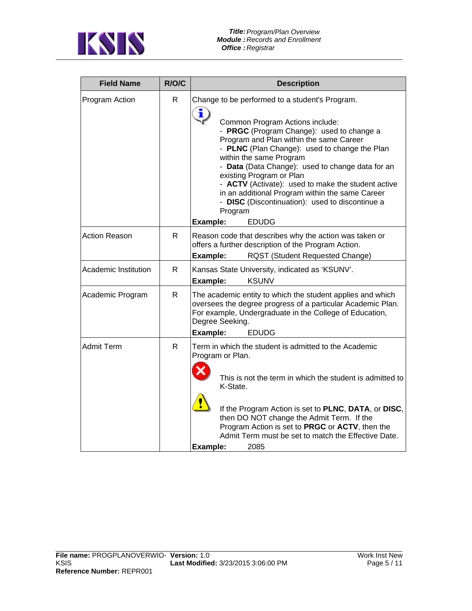

| <b>Field Name</b>    | R/O/C        | <b>Description</b>                                                                                                                                                                                                                                                                                                                                                                                                                                                                                                                                              |  |  |  |
|----------------------|--------------|-----------------------------------------------------------------------------------------------------------------------------------------------------------------------------------------------------------------------------------------------------------------------------------------------------------------------------------------------------------------------------------------------------------------------------------------------------------------------------------------------------------------------------------------------------------------|--|--|--|
| Program Action       | $\mathsf{R}$ | Change to be performed to a student's Program.<br>$\ddot{\mathbf{J}}$<br>Common Program Actions include:<br>- PRGC (Program Change): used to change a<br>Program and Plan within the same Career<br>- PLNC (Plan Change): used to change the Plan<br>within the same Program<br>- Data (Data Change): used to change data for an<br>existing Program or Plan<br>- ACTV (Activate): used to make the student active<br>in an additional Program within the same Career<br>- DISC (Discontinuation): used to discontinue a<br>Program<br><b>EDUDG</b><br>Example: |  |  |  |
| <b>Action Reason</b> | $\mathsf{R}$ | Reason code that describes why the action was taken or<br>offers a further description of the Program Action.<br>Example:<br><b>RQST (Student Requested Change)</b>                                                                                                                                                                                                                                                                                                                                                                                             |  |  |  |
| Academic Institution | $\mathsf{R}$ | Kansas State University, indicated as 'KSUNV'.<br><b>KSUNV</b><br>Example:                                                                                                                                                                                                                                                                                                                                                                                                                                                                                      |  |  |  |
| Academic Program     | $\mathsf{R}$ | The academic entity to which the student applies and which<br>oversees the degree progress of a particular Academic Plan.<br>For example, Undergraduate in the College of Education,<br>Degree Seeking.<br>Example:<br><b>EDUDG</b>                                                                                                                                                                                                                                                                                                                             |  |  |  |
| <b>Admit Term</b>    | $\mathsf{R}$ | Term in which the student is admitted to the Academic<br>Program or Plan.<br>This is not the term in which the student is admitted to<br>K-State.<br>If the Program Action is set to PLNC, DATA, or DISC,<br>then DO NOT change the Admit Term. If the<br>Program Action is set to PRGC or ACTV, then the<br>Admit Term must be set to match the Effective Date.<br>2085<br>Example:                                                                                                                                                                            |  |  |  |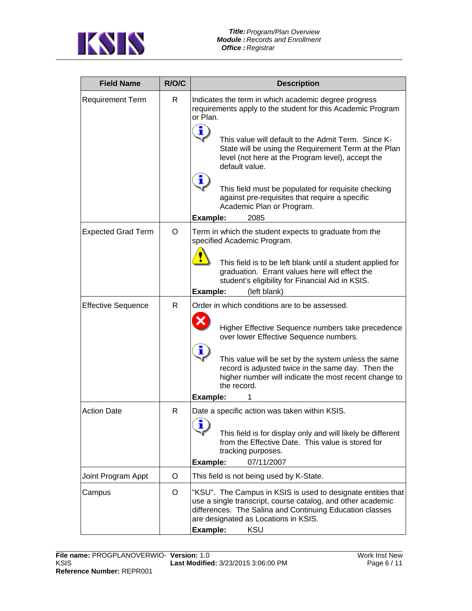

| <b>Field Name</b>         | R/O/C | <b>Description</b>                                                                                                                                                                                                                                 |  |  |  |
|---------------------------|-------|----------------------------------------------------------------------------------------------------------------------------------------------------------------------------------------------------------------------------------------------------|--|--|--|
| <b>Requirement Term</b>   | R.    | Indicates the term in which academic degree progress<br>requirements apply to the student for this Academic Program<br>or Plan.<br>i<br>This value will default to the Admit Term. Since K-                                                        |  |  |  |
|                           |       | State will be using the Requirement Term at the Plan<br>level (not here at the Program level), accept the<br>default value.<br>i,                                                                                                                  |  |  |  |
|                           |       | This field must be populated for requisite checking<br>against pre-requisites that require a specific<br>Academic Plan or Program.<br>Example:<br>2085                                                                                             |  |  |  |
| <b>Expected Grad Term</b> | O     | Term in which the student expects to graduate from the                                                                                                                                                                                             |  |  |  |
|                           |       | specified Academic Program.                                                                                                                                                                                                                        |  |  |  |
|                           |       | This field is to be left blank until a student applied for<br>graduation. Errant values here will effect the<br>student's eligibility for Financial Aid in KSIS.<br>Example:<br>(left blank)                                                       |  |  |  |
| <b>Effective Sequence</b> | R     | Order in which conditions are to be assessed.                                                                                                                                                                                                      |  |  |  |
|                           |       | Higher Effective Sequence numbers take precedence<br>over lower Effective Sequence numbers.<br>î                                                                                                                                                   |  |  |  |
|                           |       | This value will be set by the system unless the same<br>record is adjusted twice in the same day. Then the<br>higher number will indicate the most recent change to<br>the record.                                                                 |  |  |  |
| <b>Action Date</b>        | R     | Example:<br>Date a specific action was taken within KSIS.                                                                                                                                                                                          |  |  |  |
|                           |       | ∙<br>ш<br>This field is for display only and will likely be different<br>from the Effective Date. This value is stored for<br>tracking purposes.<br>07/11/2007<br>Example:                                                                         |  |  |  |
| Joint Program Appt        | O     | This field is not being used by K-State.                                                                                                                                                                                                           |  |  |  |
| Campus                    | O     | "KSU". The Campus in KSIS is used to designate entities that<br>use a single transcript, course catalog, and other academic<br>differences. The Salina and Continuing Education classes<br>are designated as Locations in KSIS.<br>Example:<br>KSU |  |  |  |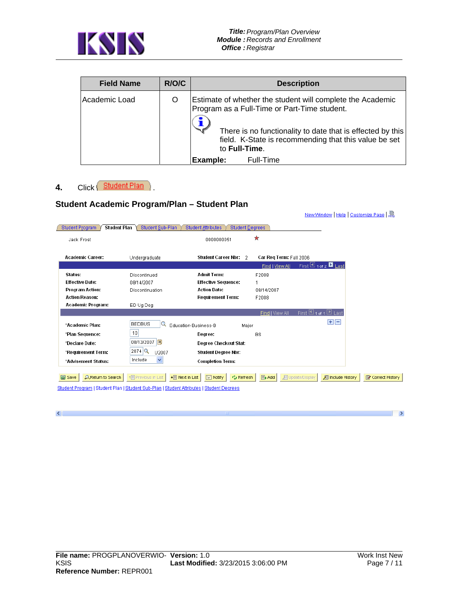

| <b>Field Name</b> | R/O/C | <b>Description</b>                                                                                                                                                                                                                                 |
|-------------------|-------|----------------------------------------------------------------------------------------------------------------------------------------------------------------------------------------------------------------------------------------------------|
| Academic Load     | O     | Estimate of whether the student will complete the Academic<br>Program as a Full-Time or Part-Time student.<br>There is no functionality to date that is effected by this<br>field. K-State is recommending that this value be set<br>to Full-Time. |
|                   |       | Full-Time<br>Example:                                                                                                                                                                                                                              |

# 4. Click **Student Plan** )

 $\left\vert \left\langle \cdot\right\vert \right\vert$ 

## **Student Academic Program/Plan – Student Plan**

| Student Program                           | Student Plan<br>Student Sub-Plan                                                         | <b>Student Attributes</b><br><b>Student Degrees</b> |                         |                                              |
|-------------------------------------------|------------------------------------------------------------------------------------------|-----------------------------------------------------|-------------------------|----------------------------------------------|
| Jack Frost                                |                                                                                          | 0000000051                                          | *                       |                                              |
| <b>Academic Career:</b>                   | Undergraduate                                                                            | Student Career Nbr: 2                               | Car Reg Term: Fall 2006 |                                              |
|                                           |                                                                                          |                                                     | Find   View All         | First $\boxplus$ 1 of 2 $\blacksquare$ Last  |
| Status:                                   | Discontinued                                                                             | <b>Admit Term:</b>                                  | F2008                   |                                              |
| <b>Effective Date:</b>                    | 08/14/2007                                                                               | <b>Effective Sequence:</b>                          |                         |                                              |
| Program Action:                           | Discontinuation                                                                          | <b>Action Date:</b>                                 | 08/14/2007              |                                              |
| <b>Action Reason:</b>                     |                                                                                          | <b>Requirement Term:</b>                            | F2008                   |                                              |
| Academic Program:                         | ED Ug Deg                                                                                |                                                     |                         |                                              |
|                                           |                                                                                          |                                                     | Find   View All         | First $\boxplus$ 1 of 1 $\boxplus$ Last      |
| *Academic Plan:                           | <b>BEDBUS</b><br>Q                                                                       | Education-Business-B<br>Major                       |                         | $+$ $-$                                      |
| *Plan Sequence:                           | 10                                                                                       | Degree:                                             | <b>BS</b>               |                                              |
| *Declare Date:                            | 08/13/2007                                                                               | Degree Checkout Stat:                               |                         |                                              |
| *Requirement Term:                        | $2074$ <sup>Q</sup><br>U2007                                                             | <b>Student Degree Nbr:</b>                          |                         |                                              |
| *Advisement Status:                       | ×<br>Include                                                                             | <b>Completion Term:</b>                             |                         |                                              |
|                                           |                                                                                          |                                                     |                         |                                              |
| <b>AReturn to Search</b><br><b>目</b> Save | + Previous in List<br>+ Next in List                                                     | FRINOtify<br><b>心 Refresh</b>                       | 图 Add                   | 周 Undate/Display<br><b>图 Include History</b> |
|                                           | Student Program   Student Plan   Student Sub-Plan   Student Attributes   Student Degrees |                                                     |                         |                                              |
|                                           |                                                                                          |                                                     |                         |                                              |

 $\Box$ 

New Window | Help | Customize Page | 恩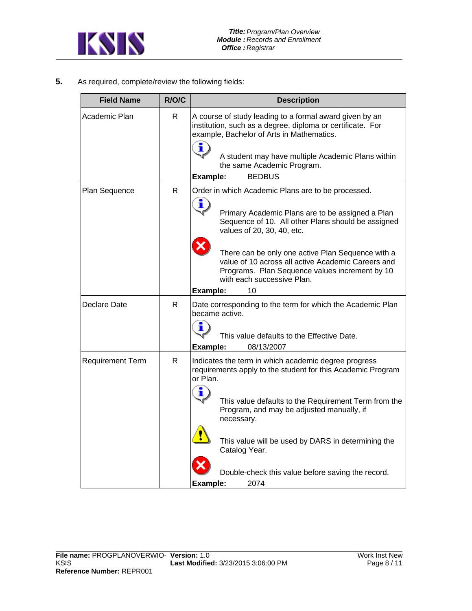

**5.** As required, complete/review the following fields:

| <b>Field Name</b>       | R/O/C | <b>Description</b>                                                                                                                                                                      |  |  |  |  |
|-------------------------|-------|-----------------------------------------------------------------------------------------------------------------------------------------------------------------------------------------|--|--|--|--|
| Academic Plan           | R     | A course of study leading to a formal award given by an<br>institution, such as a degree, diploma or certificate. For<br>example, Bachelor of Arts in Mathematics.<br>i                 |  |  |  |  |
|                         |       | A student may have multiple Academic Plans within<br>the same Academic Program.<br>Example:<br><b>BEDBUS</b>                                                                            |  |  |  |  |
| Plan Sequence           | R     | Order in which Academic Plans are to be processed.                                                                                                                                      |  |  |  |  |
|                         |       | i<br>Primary Academic Plans are to be assigned a Plan<br>Sequence of 10. All other Plans should be assigned<br>values of 20, 30, 40, etc.                                               |  |  |  |  |
|                         |       | There can be only one active Plan Sequence with a<br>value of 10 across all active Academic Careers and<br>Programs. Plan Sequence values increment by 10<br>with each successive Plan. |  |  |  |  |
|                         |       | 10<br>Example:                                                                                                                                                                          |  |  |  |  |
| Declare Date            | R     | Date corresponding to the term for which the Academic Plan<br>became active.                                                                                                            |  |  |  |  |
|                         |       | П<br>This value defaults to the Effective Date.                                                                                                                                         |  |  |  |  |
|                         |       | Example:<br>08/13/2007                                                                                                                                                                  |  |  |  |  |
| <b>Requirement Term</b> | R     | Indicates the term in which academic degree progress<br>requirements apply to the student for this Academic Program<br>or Plan.                                                         |  |  |  |  |
|                         |       | i<br>This value defaults to the Requirement Term from the<br>Program, and may be adjusted manually, if<br>necessary.                                                                    |  |  |  |  |
|                         |       | This value will be used by DARS in determining the<br>Catalog Year.                                                                                                                     |  |  |  |  |
|                         |       | Double-check this value before saving the record.<br>2074<br>Example:                                                                                                                   |  |  |  |  |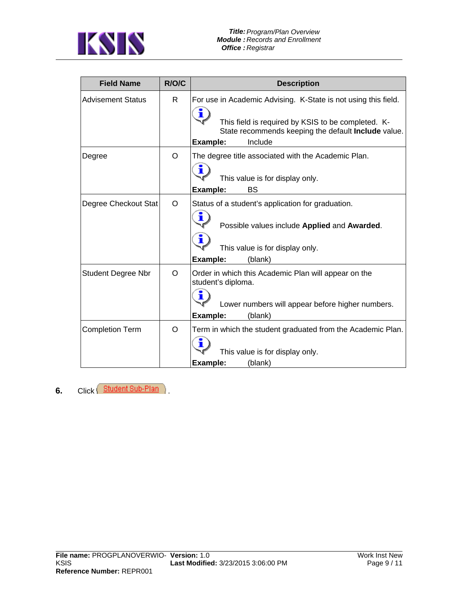

| <b>Field Name</b>         | R/O/C    | <b>Description</b>                                                                                                                                                                                             |  |  |  |
|---------------------------|----------|----------------------------------------------------------------------------------------------------------------------------------------------------------------------------------------------------------------|--|--|--|
| <b>Advisement Status</b>  | R.       | For use in Academic Advising. K-State is not using this field.<br>i<br>This field is required by KSIS to be completed. K-<br>State recommends keeping the default <b>Include</b> value.<br>Include<br>Example: |  |  |  |
| Degree                    | O        | The degree title associated with the Academic Plan.<br>i<br>This value is for display only.<br>Example:<br>BS                                                                                                  |  |  |  |
| Degree Checkout Stat      | O        | Status of a student's application for graduation.<br>ï<br>Possible values include Applied and Awarded.<br>т<br>This value is for display only.<br>Example:<br>(blank)                                          |  |  |  |
| <b>Student Degree Nbr</b> | $\Omega$ | Order in which this Academic Plan will appear on the<br>student's diploma.<br>т<br>Lower numbers will appear before higher numbers.<br>Example:<br>(blank)                                                     |  |  |  |
| <b>Completion Term</b>    | $\Omega$ | Term in which the student graduated from the Academic Plan.<br>т<br>This value is for display only.<br>Example:<br>(blank)                                                                                     |  |  |  |

**6.** Click Student Sub-Plan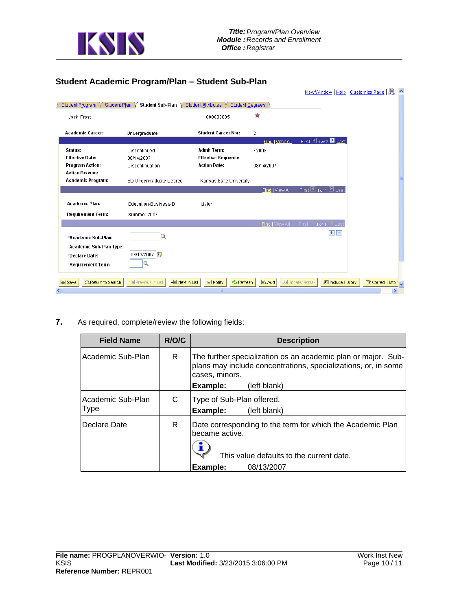

## **Student Academic Program/Plan – Student Sub-Plan**

|                                               |                                                        |                                                     |                 | New Window   Help   Customize Page           | 鳯               |
|-----------------------------------------------|--------------------------------------------------------|-----------------------------------------------------|-----------------|----------------------------------------------|-----------------|
| <b>Student Plan</b><br><b>Student Program</b> | Student Sub-Plan                                       | <b>Student Attributes</b><br><b>Student Degrees</b> |                 |                                              |                 |
| Jack Frost                                    |                                                        | 0000000051                                          | *               |                                              |                 |
| <b>Academic Career:</b>                       | Undergraduate                                          | Student Career Nbr:                                 | $\overline{2}$  |                                              |                 |
|                                               |                                                        |                                                     | Find   View All | First $\blacksquare$ 1 of 2 $\bigsqcup$ Last |                 |
| Status:                                       | Discontinued                                           | Admit Term:                                         | F2008           |                                              |                 |
| <b>Effective Date:</b>                        | 08/14/2007                                             | <b>Effective Sequence:</b>                          | 1               |                                              |                 |
| <b>Program Action:</b>                        | Discontinuation                                        | <b>Action Date:</b>                                 | 08/14/2007      |                                              |                 |
| <b>Action Reason:</b>                         |                                                        |                                                     |                 |                                              |                 |
| Academic Program:                             | ED Undergraduate Degree                                | Kansas State University                             |                 |                                              |                 |
|                                               |                                                        |                                                     | Find   View All | First $\Box$ 1 of 1 $\Box$ Last              |                 |
| Academic Plan:                                | Education-Business-B                                   | Major                                               |                 |                                              |                 |
| <b>Requirement Term:</b>                      | Summer 2007                                            |                                                     |                 |                                              |                 |
|                                               |                                                        |                                                     |                 | Tind   View All First 브 1 of 1 벤 Last        |                 |
|                                               |                                                        |                                                     |                 |                                              |                 |
| *Academic Sub-Plan:                           | Q                                                      |                                                     |                 | $\mathbf{H}$ $\mathbf{H}$                    |                 |
| Academic Sub-Plan Type:                       |                                                        |                                                     |                 |                                              |                 |
| *Declare Date:                                | 08/13/2007 <mark>団</mark>                              |                                                     |                 |                                              |                 |
| *Requirement Term:                            | Q                                                      |                                                     |                 |                                              |                 |
|                                               |                                                        |                                                     |                 |                                              |                 |
| <b>Q</b> Return to Search<br>国 Save           | + Previous in List<br>$\downarrow \equiv$ Next in List | $\mathbb{E}$ Notify<br><b>心 Refresh</b>             | $E_+$ Add       | 周 Update/Display<br><b>图 Include History</b> | Correct History |
|                                               |                                                        | Ш                                                   |                 |                                              |                 |

**7.** As required, complete/review the following fields:

| <b>Field Name</b>                | R/O/C | <b>Description</b>                                                                                                                                                            |
|----------------------------------|-------|-------------------------------------------------------------------------------------------------------------------------------------------------------------------------------|
| Academic Sub-Plan                | R     | The further specialization os an academic plan or major. Sub-<br>plans may include concentrations, specializations, or, in some<br>cases, minors.<br>Example:<br>(left blank) |
| Academic Sub-Plan<br><b>Type</b> | C     | Type of Sub-Plan offered.<br>Example:<br>(left blank)                                                                                                                         |
| Declare Date                     | R.    | Date corresponding to the term for which the Academic Plan<br>became active.<br>This value defaults to the current date.<br>08/13/2007<br>Example:                            |